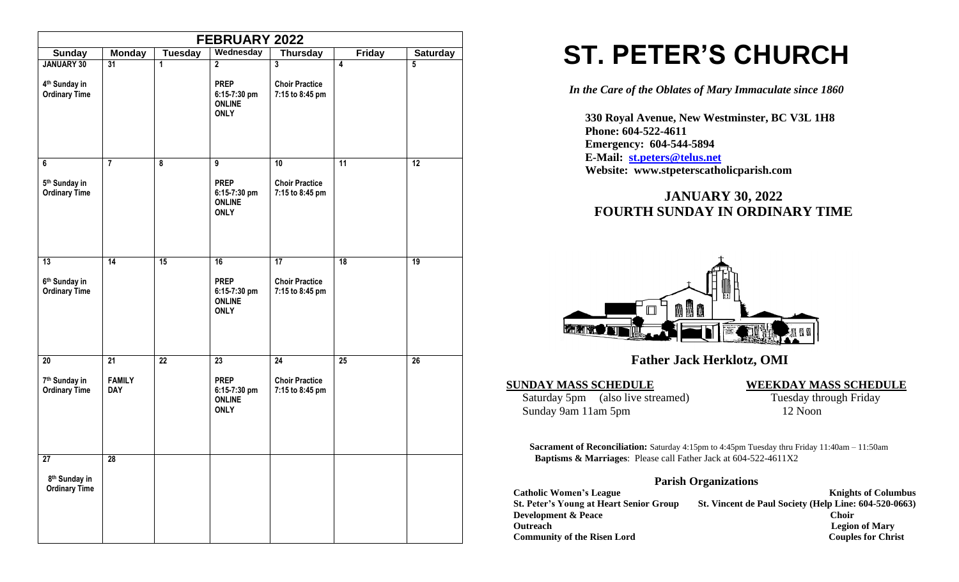|                                                                        |                                   |                      | <b>FEBRUARY 2022</b>                                                           |                                                             |                         |                 |
|------------------------------------------------------------------------|-----------------------------------|----------------------|--------------------------------------------------------------------------------|-------------------------------------------------------------|-------------------------|-----------------|
| <b>Sunday</b>                                                          | <b>Monday</b>                     | <b>Tuesday</b>       | Wednesday                                                                      | <b>Thursday</b>                                             | <b>Friday</b>           | <b>Saturday</b> |
| <b>JANUARY 30</b><br>4 <sup>th</sup> Sunday in<br><b>Ordinary Time</b> | $\overline{31}$                   | $\mathbf{1}$         | $\overline{2}$<br><b>PREP</b><br>6:15-7:30 pm<br><b>ONLINE</b><br><b>ONLY</b>  | $\overline{3}$<br><b>Choir Practice</b><br>7:15 to 8:45 pm  | $\overline{\mathbf{4}}$ | $\overline{5}$  |
| 6<br>5 <sup>th</sup> Sunday in<br><b>Ordinary Time</b>                 | $\overline{7}$                    | $\overline{\bullet}$ | $\overline{9}$<br><b>PREP</b><br>6:15-7:30 pm<br><b>ONLINE</b><br><b>ONLY</b>  | 10<br><b>Choir Practice</b><br>7:15 to 8:45 pm              | $\overline{11}$         | $\overline{12}$ |
| $\overline{13}$<br>6 <sup>th</sup> Sunday in<br><b>Ordinary Time</b>   | $\overline{14}$                   | 15                   | 16<br><b>PREP</b><br>6:15-7:30 pm<br><b>ONLINE</b><br><b>ONLY</b>              | $\overline{17}$<br><b>Choir Practice</b><br>7:15 to 8:45 pm | $\overline{18}$         | 19              |
| 20<br>7 <sup>th</sup> Sunday in<br><b>Ordinary Time</b>                | 21<br><b>FAMILY</b><br><b>DAY</b> | $\overline{22}$      | $\overline{23}$<br><b>PREP</b><br>6:15-7:30 pm<br><b>ONLINE</b><br><b>ONLY</b> | $\overline{24}$<br><b>Choir Practice</b><br>7:15 to 8:45 pm | $\overline{25}$         | $\overline{26}$ |
| 27<br>8 <sup>th</sup> Sunday in<br><b>Ordinary Time</b>                | 28                                |                      |                                                                                |                                                             |                         |                 |

# **ST. PETER'S CHURCH**

*In the Care of the Oblates of Mary Immaculate since 1860*

 **330 Royal Avenue, New Westminster, BC V3L 1H8 Phone: 604-522-4611 Emergency: 604-544-5894 E-Mail: [st.peters@telus.net](mailto:st.peters@telus.net) Website: www.stpeterscatholicparish.com**

## **JANUARY 30, 2022 FOURTH SUNDAY IN ORDINARY TIME**



### **Father Jack Herklotz, OMI**

Saturday 5pm (also live streamed) Tuesday through Friday Sunday 9am 11am 5pm 12 Noon

#### **SUNDAY MASS SCHEDULE WEEKDAY MASS SCHEDULE**

**Sacrament of Reconciliation:** Saturday 4:15pm to 4:45pm Tuesday thru Friday 11:40am – 11:50am  **Baptisms & Marriages**: Please call Father Jack at 604-522-4611X2

#### **Parish Organizations**

| <b>Catholic Women's League</b>                 | <b>Knights of Columbus</b>                            |
|------------------------------------------------|-------------------------------------------------------|
| <b>St. Peter's Young at Heart Senior Group</b> | St. Vincent de Paul Society (Help Line: 604-520-0663) |
| <b>Development &amp; Peace</b>                 | <b>Choir</b>                                          |
| <b>Outreach</b>                                | <b>Legion of Mary</b>                                 |
| <b>Community of the Risen Lord</b>             | <b>Couples for Christ</b>                             |